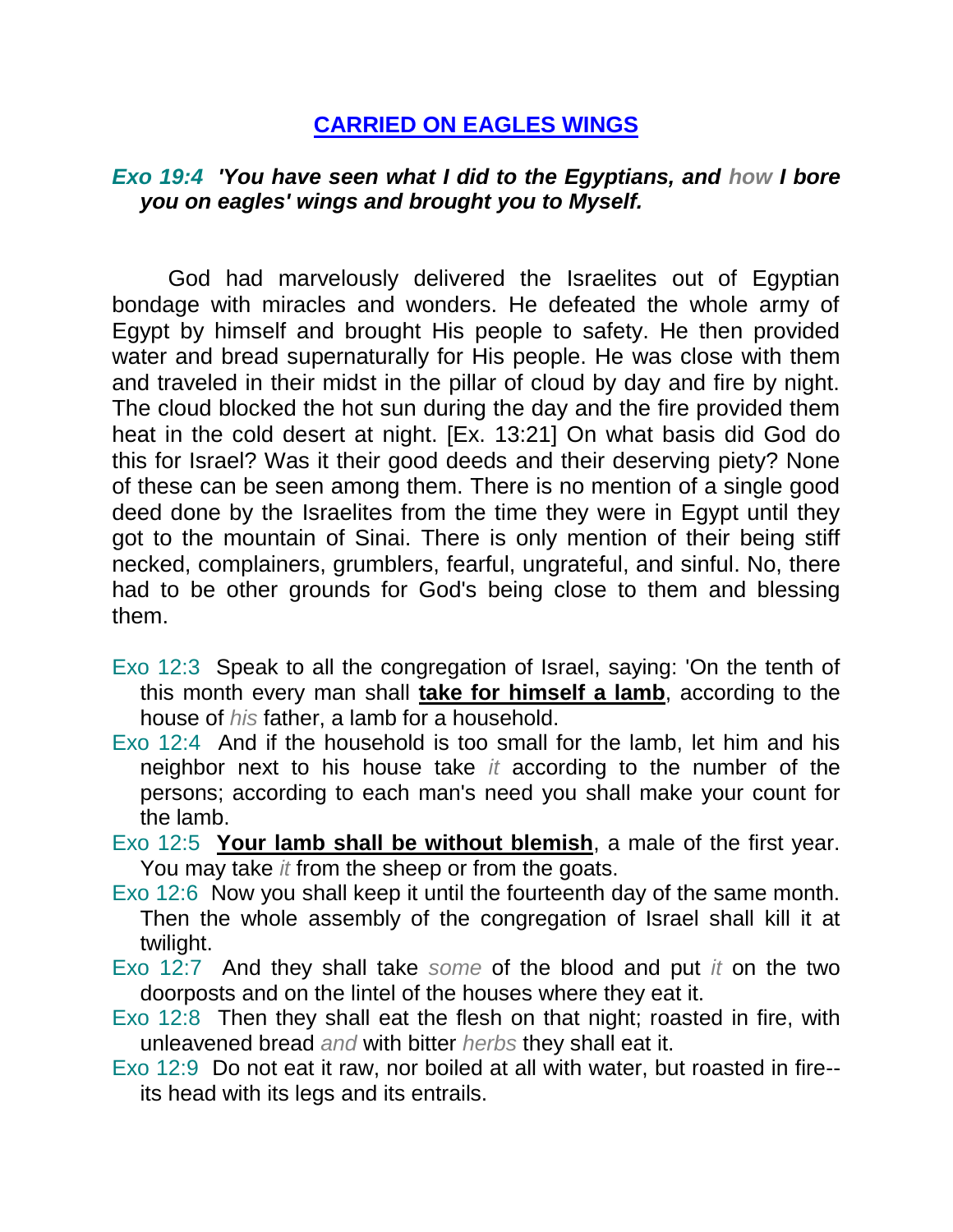## **CARRIED ON EAGLES WINGS**

## *Exo 19:4 'You have seen what I did to the Egyptians, and how I bore you on eagles' wings and brought you to Myself.*

God had marvelously delivered the Israelites out of Egyptian bondage with miracles and wonders. He defeated the whole army of Egypt by himself and brought His people to safety. He then provided water and bread supernaturally for His people. He was close with them and traveled in their midst in the pillar of cloud by day and fire by night. The cloud blocked the hot sun during the day and the fire provided them heat in the cold desert at night. [Ex. 13:21] On what basis did God do this for Israel? Was it their good deeds and their deserving piety? None of these can be seen among them. There is no mention of a single good deed done by the Israelites from the time they were in Egypt until they got to the mountain of Sinai. There is only mention of their being stiff necked, complainers, grumblers, fearful, ungrateful, and sinful. No, there had to be other grounds for God's being close to them and blessing them.

- Exo 12:3 Speak to all the congregation of Israel, saying: 'On the tenth of this month every man shall **take for himself a lamb**, according to the house of *his* father, a lamb for a household.
- Exo 12:4 And if the household is too small for the lamb, let him and his neighbor next to his house take *it* according to the number of the persons; according to each man's need you shall make your count for the lamb.
- Exo 12:5 **Your lamb shall be without blemish**, a male of the first year. You may take *it* from the sheep or from the goats.
- Exo 12:6 Now you shall keep it until the fourteenth day of the same month. Then the whole assembly of the congregation of Israel shall kill it at twilight.
- Exo 12:7 And they shall take *some* of the blood and put *it* on the two doorposts and on the lintel of the houses where they eat it.
- Exo 12:8 Then they shall eat the flesh on that night; roasted in fire, with unleavened bread *and* with bitter *herbs* they shall eat it.
- Exo 12:9 Do not eat it raw, nor boiled at all with water, but roasted in fire- its head with its legs and its entrails.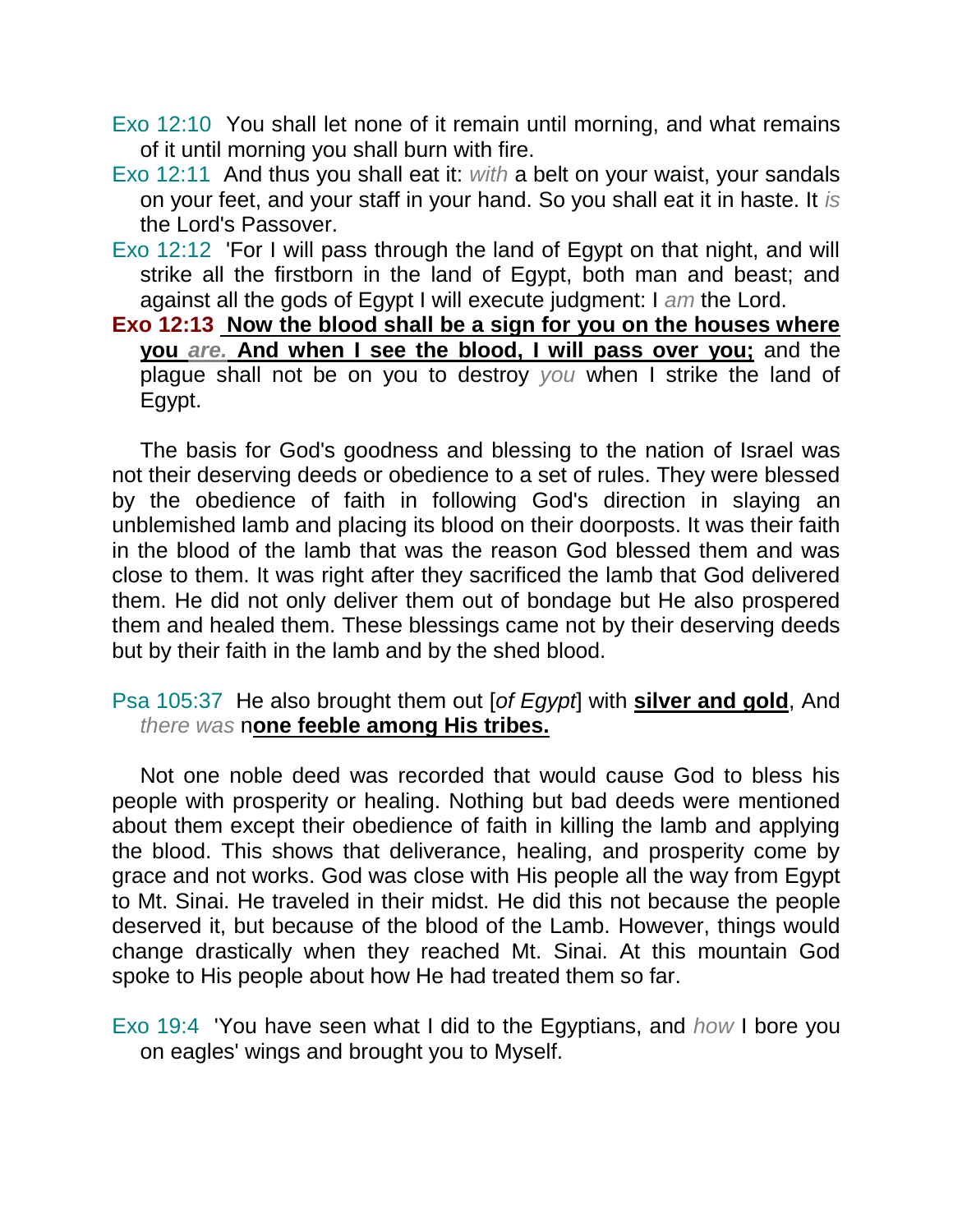- Exo 12:10 You shall let none of it remain until morning, and what remains of it until morning you shall burn with fire.
- Exo 12:11 And thus you shall eat it: *with* a belt on your waist, your sandals on your feet, and your staff in your hand. So you shall eat it in haste. It *is* the Lord's Passover.
- Exo 12:12 'For I will pass through the land of Egypt on that night, and will strike all the firstborn in the land of Egypt, both man and beast; and against all the gods of Egypt I will execute judgment: I *am* the Lord.
- **Exo 12:13 Now the blood shall be a sign for you on the houses where you** *are.* **And when I see the blood, I will pass over you;** and the plague shall not be on you to destroy *you* when I strike the land of Egypt.

The basis for God's goodness and blessing to the nation of Israel was not their deserving deeds or obedience to a set of rules. They were blessed by the obedience of faith in following God's direction in slaying an unblemished lamb and placing its blood on their doorposts. It was their faith in the blood of the lamb that was the reason God blessed them and was close to them. It was right after they sacrificed the lamb that God delivered them. He did not only deliver them out of bondage but He also prospered them and healed them. These blessings came not by their deserving deeds but by their faith in the lamb and by the shed blood.

## Psa 105:37 He also brought them out [*of Egypt*] with **silver and gold**, And *there was* n**one feeble among His tribes.**

Not one noble deed was recorded that would cause God to bless his people with prosperity or healing. Nothing but bad deeds were mentioned about them except their obedience of faith in killing the lamb and applying the blood. This shows that deliverance, healing, and prosperity come by grace and not works. God was close with His people all the way from Egypt to Mt. Sinai. He traveled in their midst. He did this not because the people deserved it, but because of the blood of the Lamb. However, things would change drastically when they reached Mt. Sinai. At this mountain God spoke to His people about how He had treated them so far.

Exo 19:4 'You have seen what I did to the Egyptians, and *how* I bore you on eagles' wings and brought you to Myself.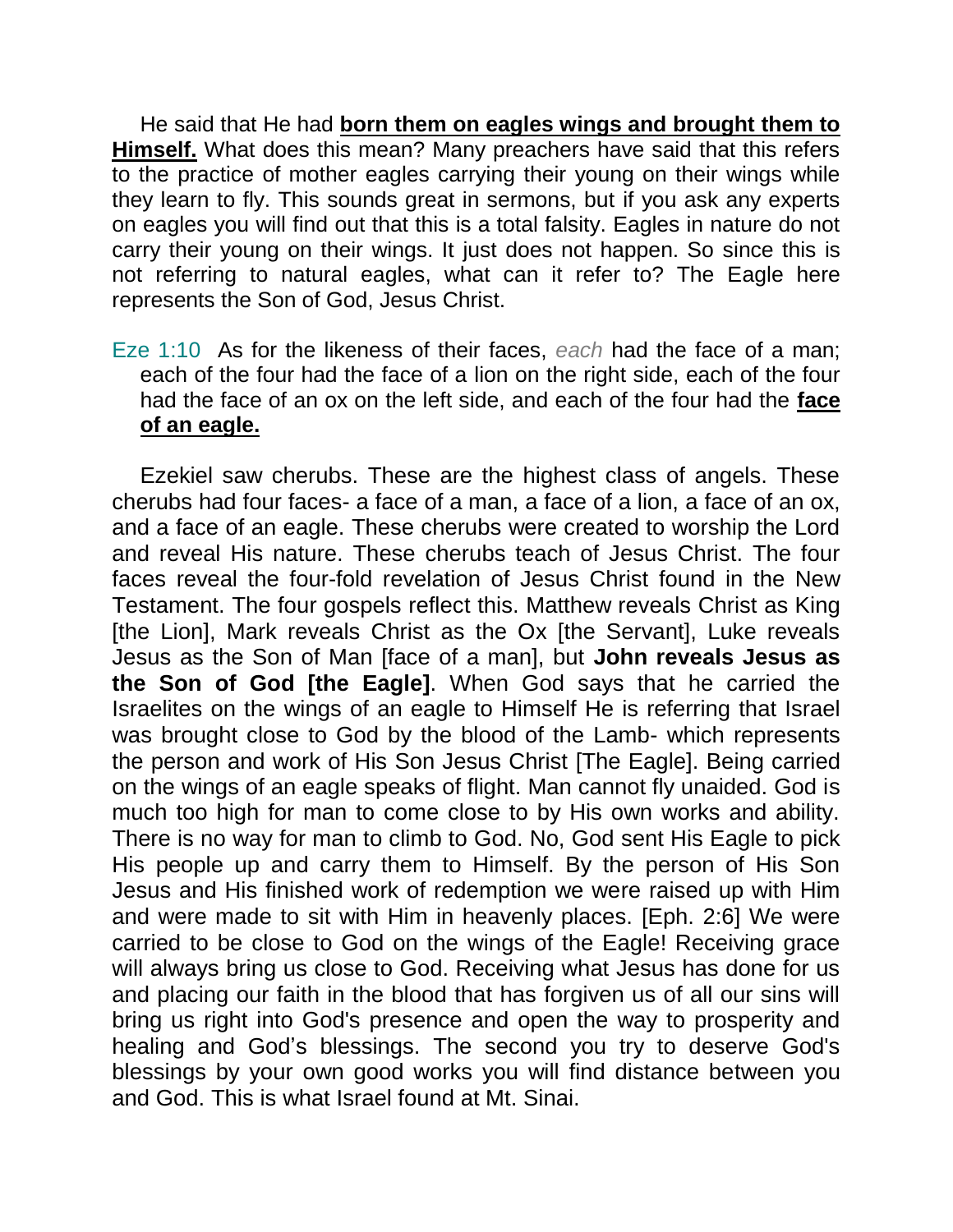He said that He had **born them on eagles wings and brought them to Himself.** What does this mean? Many preachers have said that this refers to the practice of mother eagles carrying their young on their wings while they learn to fly. This sounds great in sermons, but if you ask any experts on eagles you will find out that this is a total falsity. Eagles in nature do not carry their young on their wings. It just does not happen. So since this is not referring to natural eagles, what can it refer to? The Eagle here represents the Son of God, Jesus Christ.

Eze 1:10 As for the likeness of their faces, *each* had the face of a man; each of the four had the face of a lion on the right side, each of the four had the face of an ox on the left side, and each of the four had the **face of an eagle.** 

Ezekiel saw cherubs. These are the highest class of angels. These cherubs had four faces- a face of a man, a face of a lion, a face of an ox, and a face of an eagle. These cherubs were created to worship the Lord and reveal His nature. These cherubs teach of Jesus Christ. The four faces reveal the four-fold revelation of Jesus Christ found in the New Testament. The four gospels reflect this. Matthew reveals Christ as King [the Lion], Mark reveals Christ as the Ox [the Servant], Luke reveals Jesus as the Son of Man [face of a man], but **John reveals Jesus as the Son of God [the Eagle]**. When God says that he carried the Israelites on the wings of an eagle to Himself He is referring that Israel was brought close to God by the blood of the Lamb- which represents the person and work of His Son Jesus Christ [The Eagle]. Being carried on the wings of an eagle speaks of flight. Man cannot fly unaided. God is much too high for man to come close to by His own works and ability. There is no way for man to climb to God. No, God sent His Eagle to pick His people up and carry them to Himself. By the person of His Son Jesus and His finished work of redemption we were raised up with Him and were made to sit with Him in heavenly places. [Eph. 2:6] We were carried to be close to God on the wings of the Eagle! Receiving grace will always bring us close to God. Receiving what Jesus has done for us and placing our faith in the blood that has forgiven us of all our sins will bring us right into God's presence and open the way to prosperity and healing and God's blessings. The second you try to deserve God's blessings by your own good works you will find distance between you and God. This is what Israel found at Mt. Sinai.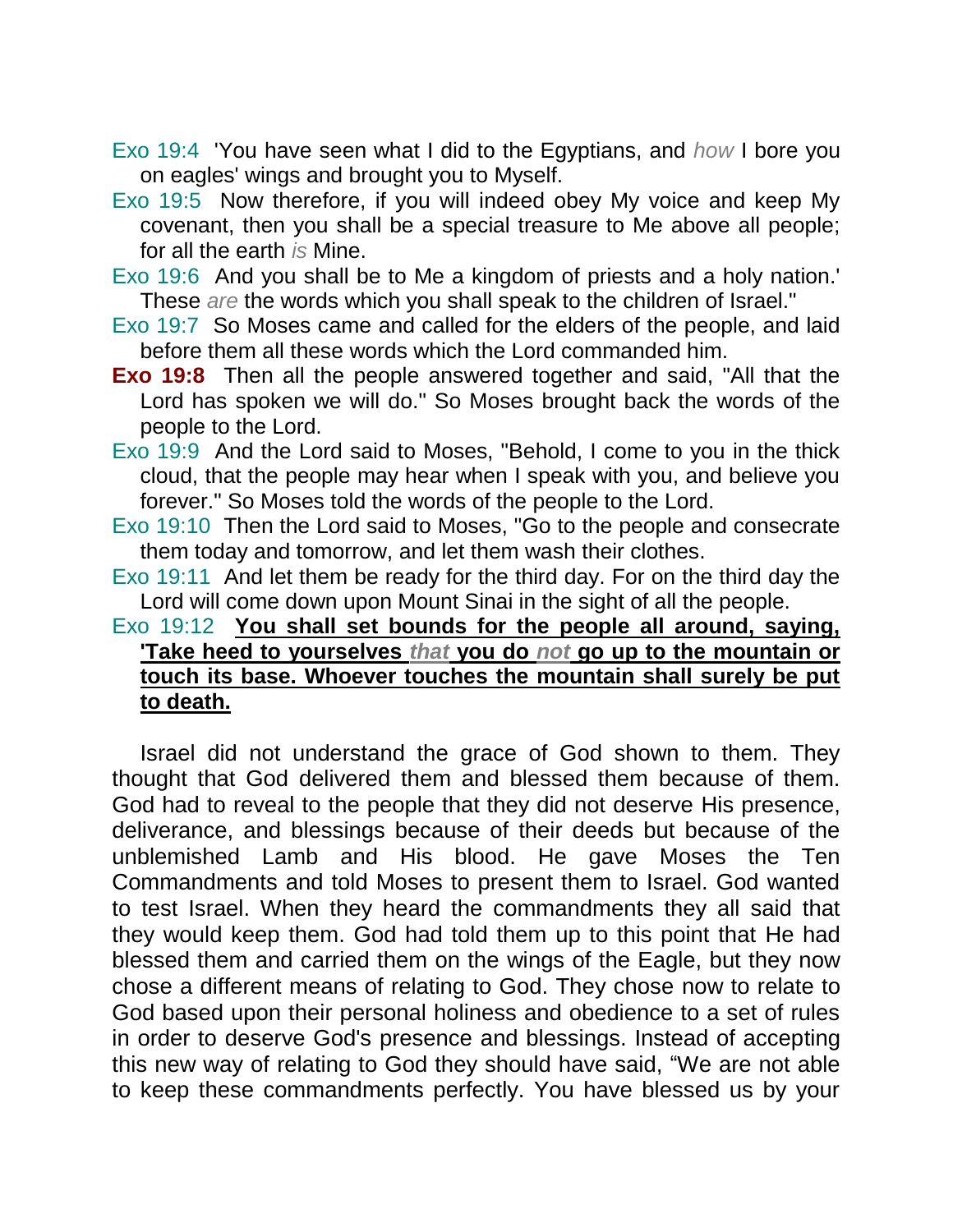- Exo 19:4 'You have seen what I did to the Egyptians, and *how* I bore you on eagles' wings and brought you to Myself.
- Exo 19:5 Now therefore, if you will indeed obey My voice and keep My covenant, then you shall be a special treasure to Me above all people; for all the earth *is* Mine.
- Exo 19:6 And you shall be to Me a kingdom of priests and a holy nation.' These *are* the words which you shall speak to the children of Israel."
- Exo 19:7 So Moses came and called for the elders of the people, and laid before them all these words which the Lord commanded him.
- **Exo 19:8** Then all the people answered together and said, "All that the Lord has spoken we will do." So Moses brought back the words of the people to the Lord.
- Exo 19:9 And the Lord said to Moses, "Behold, I come to you in the thick cloud, that the people may hear when I speak with you, and believe you forever." So Moses told the words of the people to the Lord.
- Exo 19:10 Then the Lord said to Moses, "Go to the people and consecrate them today and tomorrow, and let them wash their clothes.
- Exo 19:11 And let them be ready for the third day. For on the third day the Lord will come down upon Mount Sinai in the sight of all the people.

## Exo 19:12 **You shall set bounds for the people all around, saying, 'Take heed to yourselves** *that* **you do** *not* **go up to the mountain or touch its base. Whoever touches the mountain shall surely be put to death.**

Israel did not understand the grace of God shown to them. They thought that God delivered them and blessed them because of them. God had to reveal to the people that they did not deserve His presence, deliverance, and blessings because of their deeds but because of the unblemished Lamb and His blood. He gave Moses the Ten Commandments and told Moses to present them to Israel. God wanted to test Israel. When they heard the commandments they all said that they would keep them. God had told them up to this point that He had blessed them and carried them on the wings of the Eagle, but they now chose a different means of relating to God. They chose now to relate to God based upon their personal holiness and obedience to a set of rules in order to deserve God's presence and blessings. Instead of accepting this new way of relating to God they should have said, "We are not able to keep these commandments perfectly. You have blessed us by your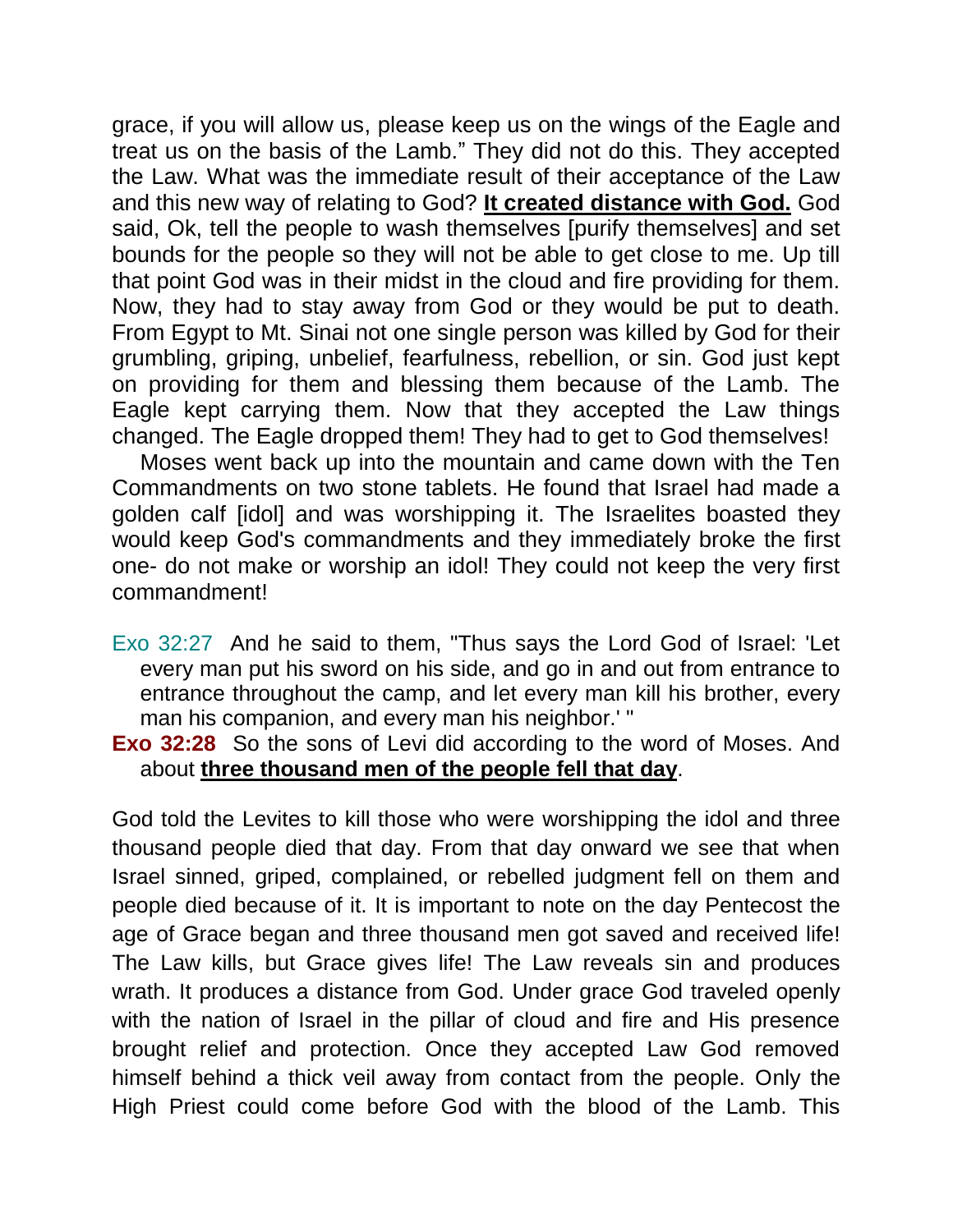grace, if you will allow us, please keep us on the wings of the Eagle and treat us on the basis of the Lamb." They did not do this. They accepted the Law. What was the immediate result of their acceptance of the Law and this new way of relating to God? **It created distance with God.** God said, Ok, tell the people to wash themselves [purify themselves] and set bounds for the people so they will not be able to get close to me. Up till that point God was in their midst in the cloud and fire providing for them. Now, they had to stay away from God or they would be put to death. From Egypt to Mt. Sinai not one single person was killed by God for their grumbling, griping, unbelief, fearfulness, rebellion, or sin. God just kept on providing for them and blessing them because of the Lamb. The Eagle kept carrying them. Now that they accepted the Law things changed. The Eagle dropped them! They had to get to God themselves!

Moses went back up into the mountain and came down with the Ten Commandments on two stone tablets. He found that Israel had made a golden calf [idol] and was worshipping it. The Israelites boasted they would keep God's commandments and they immediately broke the first one- do not make or worship an idol! They could not keep the very first commandment!

- Exo 32:27 And he said to them, "Thus says the Lord God of Israel: 'Let every man put his sword on his side, and go in and out from entrance to entrance throughout the camp, and let every man kill his brother, every man his companion, and every man his neighbor.' "
- **Exo 32:28** So the sons of Levi did according to the word of Moses. And about **three thousand men of the people fell that day**.

God told the Levites to kill those who were worshipping the idol and three thousand people died that day. From that day onward we see that when Israel sinned, griped, complained, or rebelled judgment fell on them and people died because of it. It is important to note on the day Pentecost the age of Grace began and three thousand men got saved and received life! The Law kills, but Grace gives life! The Law reveals sin and produces wrath. It produces a distance from God. Under grace God traveled openly with the nation of Israel in the pillar of cloud and fire and His presence brought relief and protection. Once they accepted Law God removed himself behind a thick veil away from contact from the people. Only the High Priest could come before God with the blood of the Lamb. This